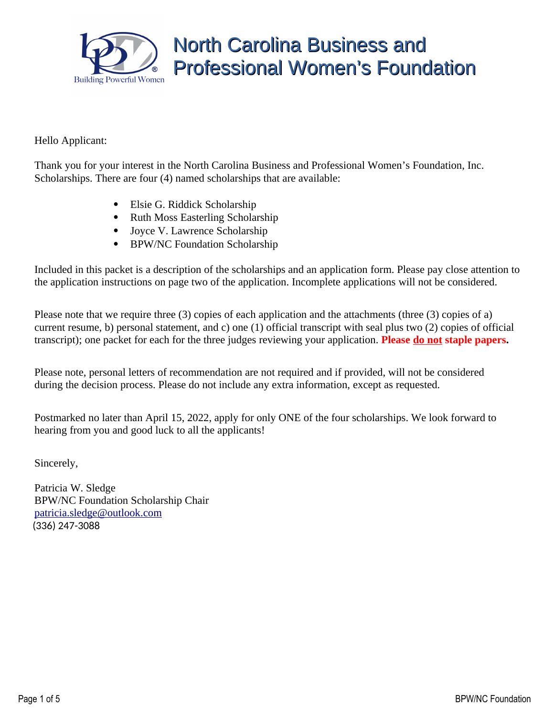

### Hello Applicant:

Thank you for your interest in the North Carolina Business and Professional Women's Foundation, Inc. Scholarships. There are four (4) named scholarships that are available:

- Elsie G. Riddick Scholarship
- Ruth Moss Easterling Scholarship
- Joyce V. Lawrence Scholarship
- BPW/NC Foundation Scholarship

Included in this packet is a description of the scholarships and an application form. Please pay close attention to the application instructions on page two of the application. Incomplete applications will not be considered.

Please note that we require three (3) copies of each application and the attachments (three (3) copies of a) current resume, b) personal statement, and c) one (1) official transcript with seal plus two (2) copies of official transcript); one packet for each for the three judges reviewing your application. **Please do not staple papers.**

Please note, personal letters of recommendation are not required and if provided, will not be considered during the decision process. Please do not include any extra information, except as requested.

Postmarked no later than April 15, 2022, apply for only ONE of the four scholarships. We look forward to hearing from you and good luck to all the applicants!

Sincerely,

Patricia W. Sledge BPW/NC Foundation Scholarship Chair [patricia.sledge@outlook.com](mailto:patricia.sledge@outlook.com?subject=BPW/NC%20Foundation%20Scholarship) (336) 247-3088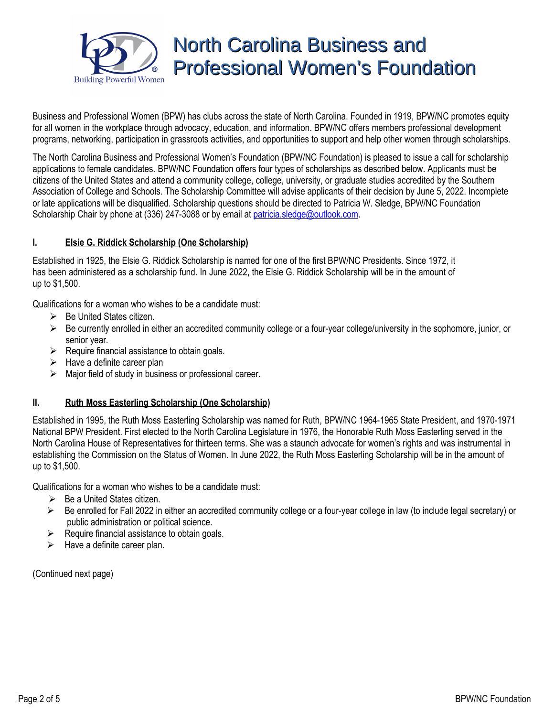

Business and Professional Women (BPW) has clubs across the state of North Carolina. Founded in 1919, BPW/NC promotes equity for all women in the workplace through advocacy, education, and information. BPW/NC offers members professional development programs, networking, participation in grassroots activities, and opportunities to support and help other women through scholarships.

The North Carolina Business and Professional Women's Foundation (BPW/NC Foundation) is pleased to issue a call for scholarship applications to female candidates. BPW/NC Foundation offers four types of scholarships as described below. Applicants must be citizens of the United States and attend a community college, college, university, or graduate studies accredited by the Southern Association of College and Schools. The Scholarship Committee will advise applicants of their decision by June 5, 2022. Incomplete or late applications will be disqualified. Scholarship questions should be directed to Patricia W. Sledge, BPW/NC Foundation Scholarship Chair by phone at (336) 247-3088 or by email at **patricia[.](mailto:JGCaldwell@JGCaldwellNCLaw.com)sledge@outlook.com.** 

#### **I. Elsie G. Riddick Scholarship (One Scholarship)**

Established in 1925, the Elsie G. Riddick Scholarship is named for one of the first BPW/NC Presidents. Since 1972, it has been administered as a scholarship fund. In June 2022, the Elsie G. Riddick Scholarship will be in the amount of up to \$1,500.

Qualifications for a woman who wishes to be a candidate must:

- $\triangleright$  Be United States citizen.
- $\triangleright$  Be currently enrolled in either an accredited community college or a four-year college/university in the sophomore, junior, or senior year.
- $\triangleright$  Require financial assistance to obtain goals.
- $\triangleright$  Have a definite career plan
- $\triangleright$  Major field of study in business or professional career.

#### **II. Ruth Moss Easterling Scholarship (One Scholarship)**

Established in 1995, the Ruth Moss Easterling Scholarship was named for Ruth, BPW/NC 1964-1965 State President, and 1970-1971 National BPW President. First elected to the North Carolina Legislature in 1976, the Honorable Ruth Moss Easterling served in the North Carolina House of Representatives for thirteen terms. She was a staunch advocate for women's rights and was instrumental in establishing the Commission on the Status of Women. In June 2022, the Ruth Moss Easterling Scholarship will be in the amount of up to \$1,500.

Qualifications for a woman who wishes to be a candidate must:

- $\triangleright$  Be a United States citizen.
- $\triangleright$  Be enrolled for Fall 2022 in either an accredited community college or a four-year college in law (to include legal secretary) or public administration or political science.
- $\triangleright$  Require financial assistance to obtain goals.
- $\triangleright$  Have a definite career plan.

(Continued next page)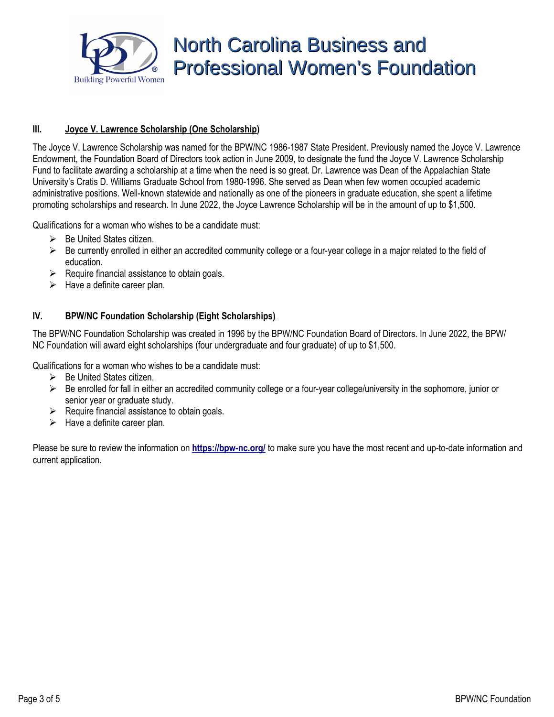

### **III. Joyce V. Lawrence Scholarship (One Scholarship)**

The Joyce V. Lawrence Scholarship was named for the BPW/NC 1986-1987 State President. Previously named the Joyce V. Lawrence Endowment, the Foundation Board of Directors took action in June 2009, to designate the fund the Joyce V. Lawrence Scholarship Fund to facilitate awarding a scholarship at a time when the need is so great. Dr. Lawrence was Dean of the Appalachian State University's Cratis D. Williams Graduate School from 1980-1996. She served as Dean when few women occupied academic administrative positions. Well-known statewide and nationally as one of the pioneers in graduate education, she spent a lifetime promoting scholarships and research. In June 2022, the Joyce Lawrence Scholarship will be in the amount of up to \$1,500.

Qualifications for a woman who wishes to be a candidate must:

- $\triangleright$  Be United States citizen.
- $\triangleright$  Be currently enrolled in either an accredited community college or a four-year college in a major related to the field of education.
- $\triangleright$  Require financial assistance to obtain goals.
- $\triangleright$  Have a definite career plan.

### **IV. BPW/NC Foundation Scholarship (Eight Scholarships)**

The BPW/NC Foundation Scholarship was created in 1996 by the BPW/NC Foundation Board of Directors. In June 2022, the BPW/ NC Foundation will award eight scholarships (four undergraduate and four graduate) of up to \$1,500.

Qualifications for a woman who wishes to be a candidate must:

- $\triangleright$  Be United States citizen.
- $\triangleright$  Be enrolled for fall in either an accredited community college or a four-year college/university in the sophomore, junior or senior year or graduate study.
- $\triangleright$  Require financial assistance to obtain goals.
- $\triangleright$  Have a definite career plan.

Please be sure to review the information on **<https://bpw-nc.org/>** to make sure you have the most recent and up-to-date information and current application.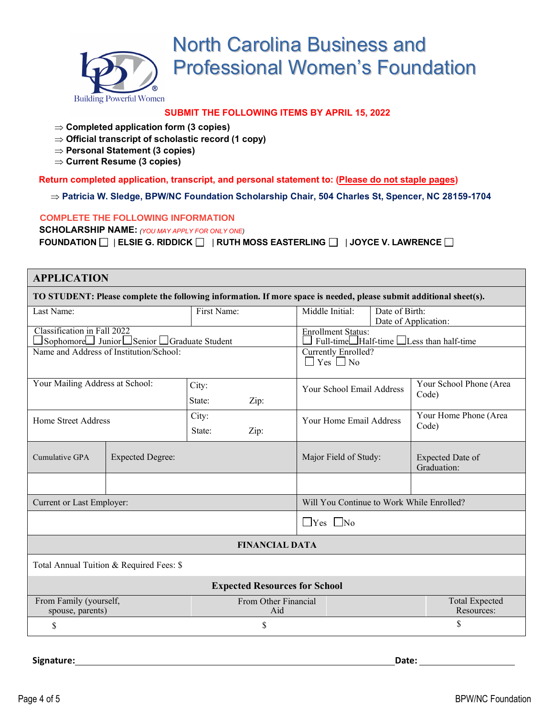

### **SUBMIT THE FOLLOWING ITEMS BY APRIL 15, 2022**

- ⇒ **Completed application form (3 copies)**
- ⇒ **Official transcript of scholastic record (1 copy)**
- ⇒ **Personal Statement (3 copies)**
- ⇒ **Current Resume (3 copies)**

**Return completed application, transcript, and personal statement to: (Please do not staple pages)**

⇒ **Patricia W. Sledge, BPW/NC Foundation Scholarship Chair, 504 Charles St, Spencer, NC 28159-1704**

#### **COMPLETE THE FOLLOWING INFORMATION**

**SCHOLARSHIP NAME:** *(YOU MAY APPLY FOR ONLY ONE)*  **FOUNDATION** | **ELSIE G. RIDDICK** | **RUTH MOSS EASTERLING** | **JOYCE V. LAWRENCE**

### **APPLICATION**

**TO STUDENT: Please complete the following information. If more space is needed, please submit additional sheet(s).**

| Last Name:                                                              |                         | First Name:                 | Middle Initial:<br>Date of Birth:                                                                          |  |                                     |
|-------------------------------------------------------------------------|-------------------------|-----------------------------|------------------------------------------------------------------------------------------------------------|--|-------------------------------------|
| Classification in Fall 2022<br>Sophomore Junior Senior Graduate Student |                         |                             | Date of Application:<br><b>Enrollment Status:</b><br>Full-time $\Box$ Half-time $\Box$ Less than half-time |  |                                     |
| Name and Address of Institution/School:                                 |                         |                             | Currently Enrolled?<br>$\Box$ Yes $\Box$ No                                                                |  |                                     |
| Your Mailing Address at School:                                         |                         | City:<br>State:<br>Zip:     | Your School Email Address                                                                                  |  | Your School Phone (Area<br>Code)    |
| Home Street Address                                                     |                         | City:<br>State:<br>Zip:     | Your Home Email Address                                                                                    |  | Your Home Phone (Area<br>Code)      |
| Cumulative GPA                                                          | <b>Expected Degree:</b> |                             | Major Field of Study:                                                                                      |  | Expected Date of<br>Graduation:     |
|                                                                         |                         |                             |                                                                                                            |  |                                     |
| Current or Last Employer:                                               |                         |                             | Will You Continue to Work While Enrolled?                                                                  |  |                                     |
|                                                                         |                         |                             | $\Box$ Yes $\Box$ No                                                                                       |  |                                     |
| <b>FINANCIAL DATA</b>                                                   |                         |                             |                                                                                                            |  |                                     |
| Total Annual Tuition & Required Fees: \$                                |                         |                             |                                                                                                            |  |                                     |
| <b>Expected Resources for School</b>                                    |                         |                             |                                                                                                            |  |                                     |
| From Family (yourself,<br>spouse, parents)                              |                         | From Other Financial<br>Aid |                                                                                                            |  | <b>Total Expected</b><br>Resources: |
| \$                                                                      |                         | \$                          |                                                                                                            |  | \$                                  |